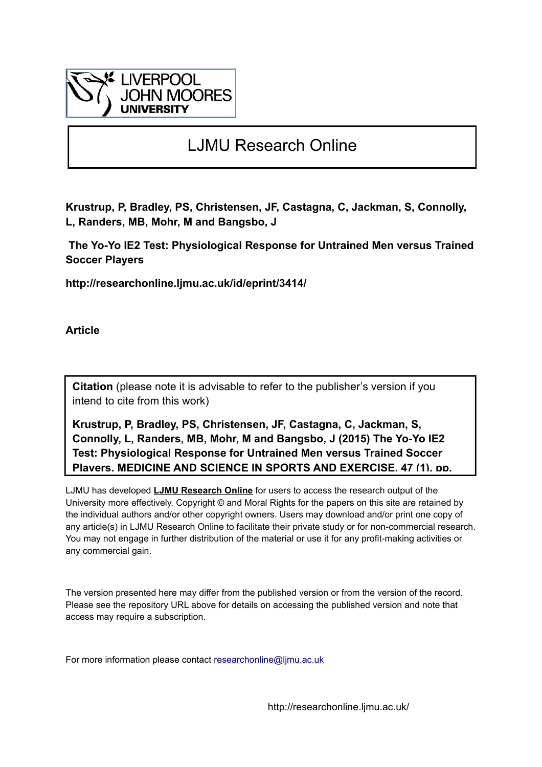

# LJMU Research Online

**Krustrup, P, Bradley, PS, Christensen, JF, Castagna, C, Jackman, S, Connolly, L, Randers, MB, Mohr, M and Bangsbo, J**

 **The Yo-Yo IE2 Test: Physiological Response for Untrained Men versus Trained Soccer Players**

**http://researchonline.ljmu.ac.uk/id/eprint/3414/**

**Article**

**Citation** (please note it is advisable to refer to the publisher's version if you intend to cite from this work)

**Krustrup, P, Bradley, PS, Christensen, JF, Castagna, C, Jackman, S, Connolly, L, Randers, MB, Mohr, M and Bangsbo, J (2015) The Yo-Yo IE2 Test: Physiological Response for Untrained Men versus Trained Soccer Players. MEDICINE AND SCIENCE IN SPORTS AND EXERCISE, 47 (1). pp.** 

LJMU has developed **[LJMU Research Online](http://researchonline.ljmu.ac.uk/)** for users to access the research output of the University more effectively. Copyright © and Moral Rights for the papers on this site are retained by the individual authors and/or other copyright owners. Users may download and/or print one copy of any article(s) in LJMU Research Online to facilitate their private study or for non-commercial research. You may not engage in further distribution of the material or use it for any profit-making activities or any commercial gain.

The version presented here may differ from the published version or from the version of the record. Please see the repository URL above for details on accessing the published version and note that access may require a subscription.

For more information please contact researchonline@limu.ac.uk

http://researchonline.ljmu.ac.uk/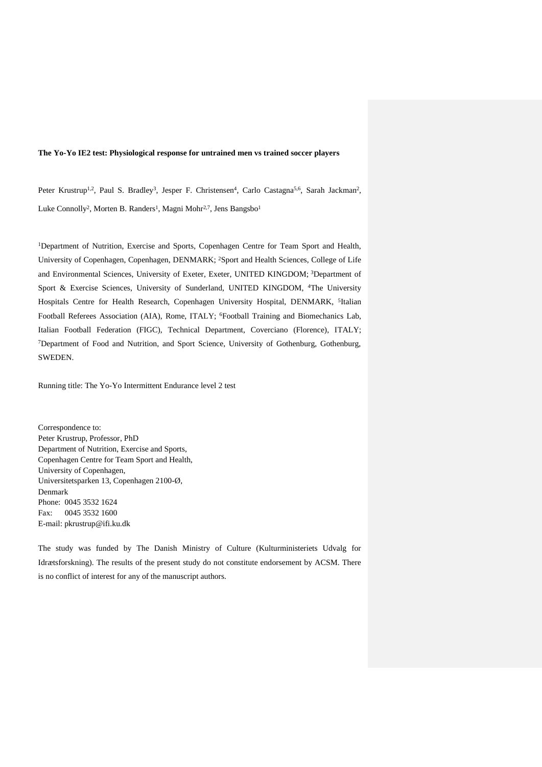#### **The Yo-Yo IE2 test: Physiological response for untrained men vs trained soccer players**

Peter Krustrup<sup>1,2</sup>, Paul S. Bradley<sup>3</sup>, Jesper F. Christensen<sup>4</sup>, Carlo Castagna<sup>5,6</sup>, Sarah Jackman<sup>2</sup>, Luke Connolly<sup>2</sup>, Morten B. Randers<sup>1</sup>, Magni Mohr<sup>2,7</sup>, Jens Bangsbo<sup>1</sup>

<sup>1</sup>Department of Nutrition, Exercise and Sports, Copenhagen Centre for Team Sport and Health, University of Copenhagen, Copenhagen, DENMARK; <sup>2</sup>Sport and Health Sciences, College of Life and Environmental Sciences, University of Exeter, Exeter, UNITED KINGDOM; <sup>3</sup>Department of Sport & Exercise Sciences, University of Sunderland, UNITED KINGDOM, <sup>4</sup>The University Hospitals Centre for Health Research, Copenhagen University Hospital, DENMARK, <sup>5</sup>Italian Football Referees Association (AIA), Rome, ITALY; <sup>6</sup>Football Training and Biomechanics Lab, Italian Football Federation (FIGC), Technical Department, Coverciano (Florence), ITALY; <sup>7</sup>Department of Food and Nutrition, and Sport Science, University of Gothenburg, Gothenburg, SWEDEN.

Running title: The Yo-Yo Intermittent Endurance level 2 test

Correspondence to: Peter Krustrup, Professor, PhD Department of Nutrition, Exercise and Sports, Copenhagen Centre for Team Sport and Health, University of Copenhagen, Universitetsparken 13, Copenhagen 2100-Ø, Denmark Phone: 0045 3532 1624 Fax: 0045 3532 1600 E-mail: pkrustrup@ifi.ku.dk

The study was funded by The Danish Ministry of Culture (Kulturministeriets Udvalg for Idrætsforskning). The results of the present study do not constitute endorsement by ACSM. There is no conflict of interest for any of the manuscript authors.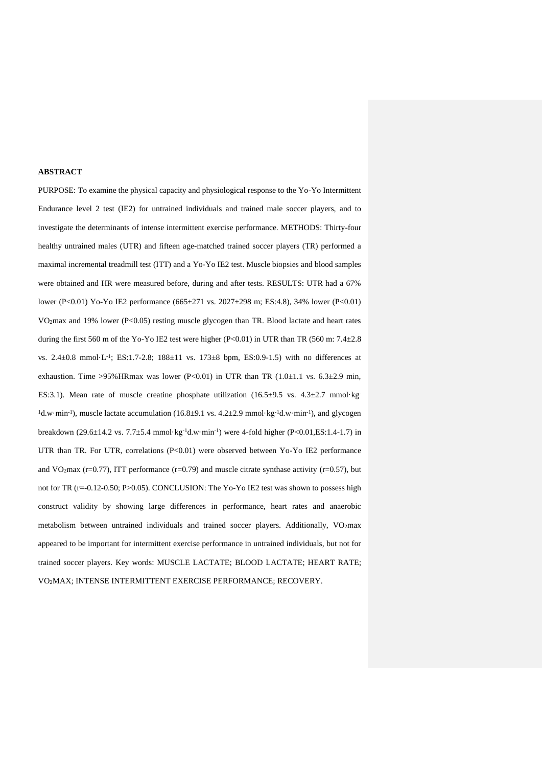#### **ABSTRACT**

PURPOSE: To examine the physical capacity and physiological response to the Yo-Yo Intermittent Endurance level 2 test (IE2) for untrained individuals and trained male soccer players, and to investigate the determinants of intense intermittent exercise performance. METHODS: Thirty-four healthy untrained males (UTR) and fifteen age-matched trained soccer players (TR) performed a maximal incremental treadmill test (ITT) and a Yo-Yo IE2 test. Muscle biopsies and blood samples were obtained and HR were measured before, during and after tests. RESULTS: UTR had a 67% lower (P<0.01) Yo-Yo IE2 performance (665±271 vs. 2027±298 m; ES:4.8), 34% lower (P<0.01) VO2max and 19% lower (P<0.05) resting muscle glycogen than TR. Blood lactate and heart rates during the first 560 m of the Yo-Yo IE2 test were higher (P<0.01) in UTR than TR (560 m: 7.4 $\pm$ 2.8 vs. 2.4±0.8 mmol·L-1 ; ES:1.7-2.8; 188±11 vs. 173±8 bpm, ES:0.9-1.5) with no differences at exhaustion. Time >95%HRmax was lower (P<0.01) in UTR than TR  $(1.0\pm1.1 \text{ vs. } 6.3\pm2.9 \text{ min}$ , ES:3.1). Mean rate of muscle creatine phosphate utilization (16.5 $\pm$ 9.5 vs. 4.3 $\pm$ 2.7 mmol·kg- $1d$ .w·min<sup>-1</sup>), muscle lactate accumulation (16.8±9.1 vs. 4.2±2.9 mmol·kg<sup>-1</sup>d.w·min<sup>-1</sup>), and glycogen breakdown (29.6±14.2 vs. 7.7±5.4 mmol·kg-1d.w·min-1 ) were 4-fold higher (P<0.01,ES:1.4-1.7) in UTR than TR. For UTR, correlations (P<0.01) were observed between Yo-Yo IE2 performance and VO<sub>2</sub>max (r=0.77), ITT performance (r=0.79) and muscle citrate synthase activity (r=0.57), but not for TR (r=-0.12-0.50; P>0.05). CONCLUSION: The Yo-Yo IE2 test was shown to possess high construct validity by showing large differences in performance, heart rates and anaerobic metabolism between untrained individuals and trained soccer players. Additionally, VO2max appeared to be important for intermittent exercise performance in untrained individuals, but not for trained soccer players. Key words: MUSCLE LACTATE; BLOOD LACTATE; HEART RATE; VO2MAX; INTENSE INTERMITTENT EXERCISE PERFORMANCE; RECOVERY.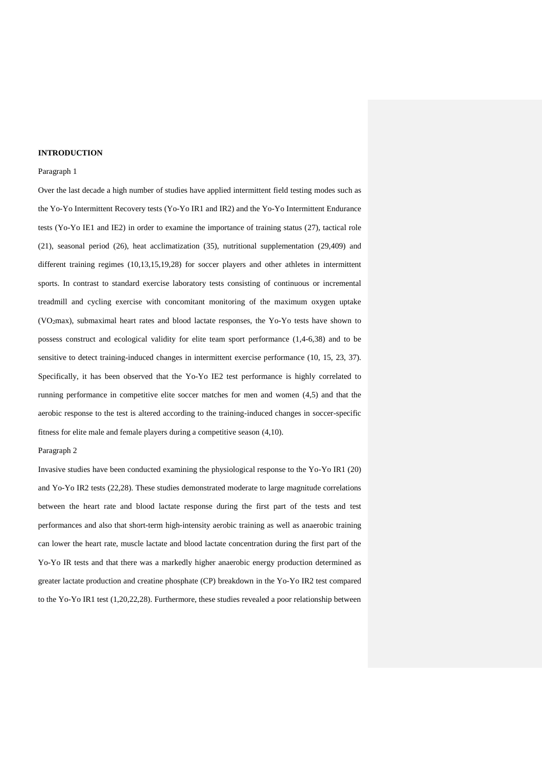#### **INTRODUCTION**

## Paragraph 1

Over the last decade a high number of studies have applied intermittent field testing modes such as the Yo-Yo Intermittent Recovery tests (Yo-Yo IR1 and IR2) and the Yo-Yo Intermittent Endurance tests (Yo-Yo IE1 and IE2) in order to examine the importance of training status (27), tactical role (21), seasonal period (26), heat acclimatization (35), nutritional supplementation (29,409) and different training regimes (10,13,15,19,28) for soccer players and other athletes in intermittent sports. In contrast to standard exercise laboratory tests consisting of continuous or incremental treadmill and cycling exercise with concomitant monitoring of the maximum oxygen uptake (VO2max), submaximal heart rates and blood lactate responses, the Yo-Yo tests have shown to possess construct and ecological validity for elite team sport performance (1,4-6,38) and to be sensitive to detect training-induced changes in intermittent exercise performance (10, 15, 23, 37). Specifically, it has been observed that the Yo-Yo IE2 test performance is highly correlated to running performance in competitive elite soccer matches for men and women (4,5) and that the aerobic response to the test is altered according to the training-induced changes in soccer-specific fitness for elite male and female players during a competitive season (4,10).

#### Paragraph 2

Invasive studies have been conducted examining the physiological response to the Yo-Yo IR1 (20) and Yo-Yo IR2 tests (22,28). These studies demonstrated moderate to large magnitude correlations between the heart rate and blood lactate response during the first part of the tests and test performances and also that short-term high-intensity aerobic training as well as anaerobic training can lower the heart rate, muscle lactate and blood lactate concentration during the first part of the Yo-Yo IR tests and that there was a markedly higher anaerobic energy production determined as greater lactate production and creatine phosphate (CP) breakdown in the Yo-Yo IR2 test compared to the Yo-Yo IR1 test (1,20,22,28). Furthermore, these studies revealed a poor relationship between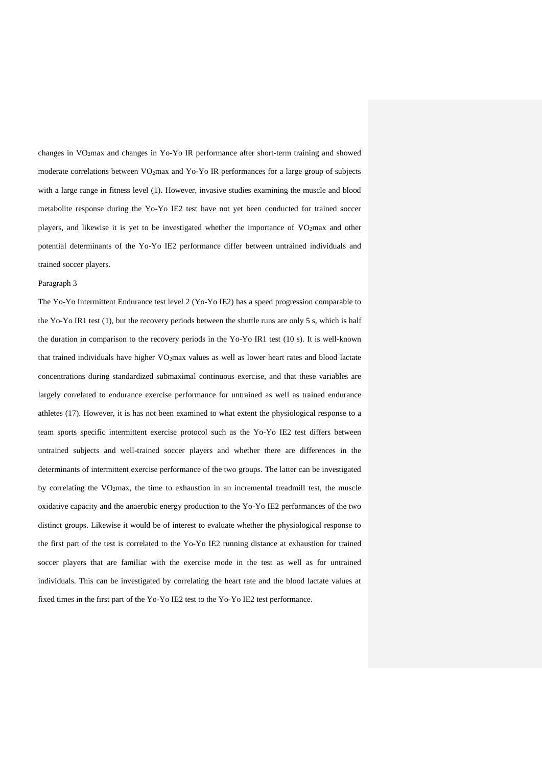changes in VO2max and changes in Yo-Yo IR performance after short-term training and showed moderate correlations between VO2max and Yo-Yo IR performances for a large group of subjects with a large range in fitness level (1). However, invasive studies examining the muscle and blood metabolite response during the Yo-Yo IE2 test have not yet been conducted for trained soccer players, and likewise it is yet to be investigated whether the importance of VO2max and other potential determinants of the Yo-Yo IE2 performance differ between untrained individuals and trained soccer players.

#### Paragraph 3

The Yo-Yo Intermittent Endurance test level 2 (Yo-Yo IE2) has a speed progression comparable to the Yo-Yo IR1 test (1), but the recovery periods between the shuttle runs are only 5 s, which is half the duration in comparison to the recovery periods in the Yo-Yo IR1 test (10 s). It is well-known that trained individuals have higher VO2max values as well as lower heart rates and blood lactate concentrations during standardized submaximal continuous exercise, and that these variables are largely correlated to endurance exercise performance for untrained as well as trained endurance athletes (17). However, it is has not been examined to what extent the physiological response to a team sports specific intermittent exercise protocol such as the Yo-Yo IE2 test differs between untrained subjects and well-trained soccer players and whether there are differences in the determinants of intermittent exercise performance of the two groups. The latter can be investigated by correlating the VO2max, the time to exhaustion in an incremental treadmill test, the muscle oxidative capacity and the anaerobic energy production to the Yo-Yo IE2 performances of the two distinct groups. Likewise it would be of interest to evaluate whether the physiological response to the first part of the test is correlated to the Yo-Yo IE2 running distance at exhaustion for trained soccer players that are familiar with the exercise mode in the test as well as for untrained individuals. This can be investigated by correlating the heart rate and the blood lactate values at fixed times in the first part of the Yo-Yo IE2 test to the Yo-Yo IE2 test performance.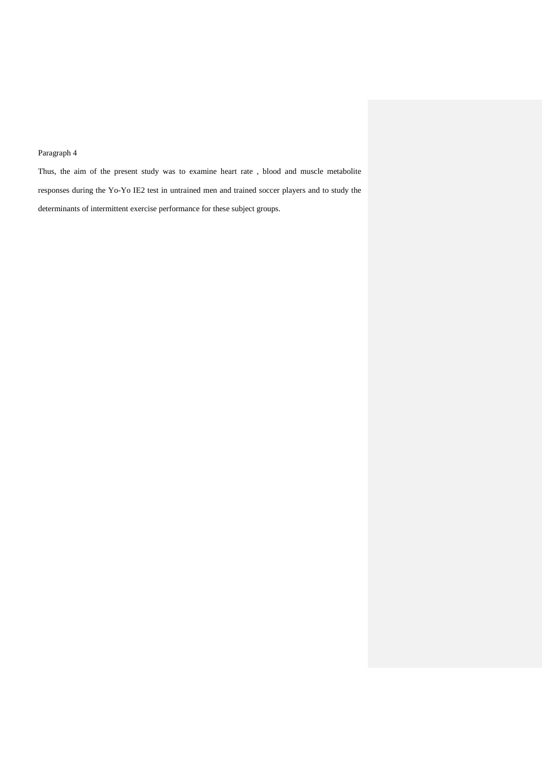# Paragraph 4

Thus, the aim of the present study was to examine heart rate , blood and muscle metabolite responses during the Yo-Yo IE2 test in untrained men and trained soccer players and to study the determinants of intermittent exercise performance for these subject groups.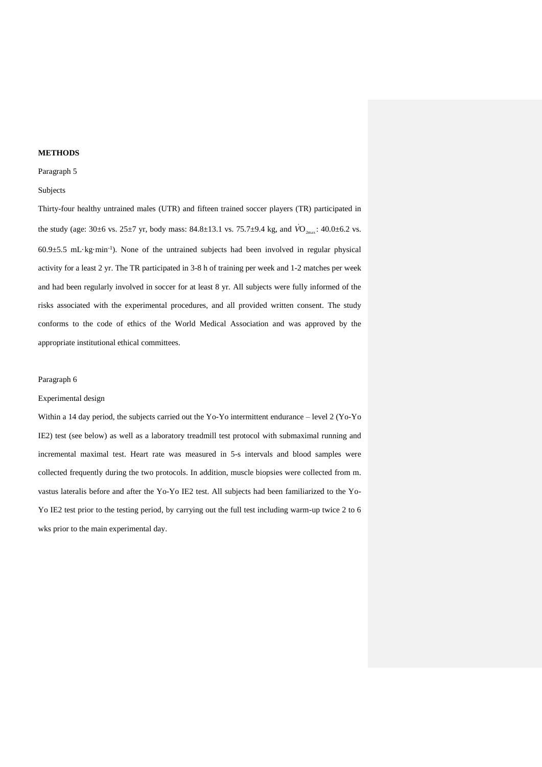#### **METHODS**

#### Paragraph 5

## Subjects

Thirty-four healthy untrained males (UTR) and fifteen trained soccer players (TR) participated in the study (age:  $30\pm6$  vs.  $25\pm7$  yr, body mass:  $84.8\pm13.1$  vs.  $75.7\pm9.4$  kg, and  $\dot{VO}_{2\text{max}}$ :  $40.0\pm6.2$  vs. 60.9±5.5 mL·kg·min-1 ). None of the untrained subjects had been involved in regular physical activity for a least 2 yr. The TR participated in 3-8 h of training per week and 1-2 matches per week and had been regularly involved in soccer for at least 8 yr. All subjects were fully informed of the risks associated with the experimental procedures, and all provided written consent. The study conforms to the code of ethics of the World Medical Association and was approved by the appropriate institutional ethical committees.

#### Paragraph 6

#### Experimental design

Within a 14 day period, the subjects carried out the Yo-Yo intermittent endurance – level 2 (Yo-Yo IE2) test (see below) as well as a laboratory treadmill test protocol with submaximal running and incremental maximal test. Heart rate was measured in 5-s intervals and blood samples were collected frequently during the two protocols. In addition, muscle biopsies were collected from m. vastus lateralis before and after the Yo-Yo IE2 test. All subjects had been familiarized to the Yo-Yo IE2 test prior to the testing period, by carrying out the full test including warm-up twice 2 to 6 wks prior to the main experimental day.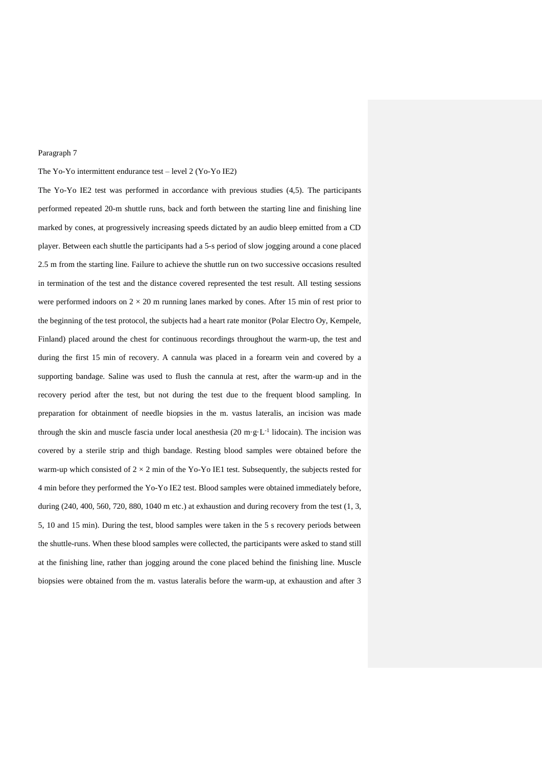#### Paragraph 7

#### The Yo-Yo intermittent endurance test – level 2 (Yo-Yo IE2)

The Yo-Yo IE2 test was performed in accordance with previous studies (4,5). The participants performed repeated 20-m shuttle runs, back and forth between the starting line and finishing line marked by cones, at progressively increasing speeds dictated by an audio bleep emitted from a CD player. Between each shuttle the participants had a 5-s period of slow jogging around a cone placed 2.5 m from the starting line. Failure to achieve the shuttle run on two successive occasions resulted in termination of the test and the distance covered represented the test result. All testing sessions were performed indoors on  $2 \times 20$  m running lanes marked by cones. After 15 min of rest prior to the beginning of the test protocol, the subjects had a heart rate monitor (Polar Electro Oy, Kempele, Finland) placed around the chest for continuous recordings throughout the warm-up, the test and during the first 15 min of recovery. A cannula was placed in a forearm vein and covered by a supporting bandage. Saline was used to flush the cannula at rest, after the warm-up and in the recovery period after the test, but not during the test due to the frequent blood sampling. In preparation for obtainment of needle biopsies in the m. vastus lateralis, an incision was made through the skin and muscle fascia under local anesthesia  $(20 \text{ m} \cdot \text{g} \cdot \text{L}^{-1})$  lidocain). The incision was covered by a sterile strip and thigh bandage. Resting blood samples were obtained before the warm-up which consisted of  $2 \times 2$  min of the Yo-Yo IE1 test. Subsequently, the subjects rested for 4 min before they performed the Yo-Yo IE2 test. Blood samples were obtained immediately before, during (240, 400, 560, 720, 880, 1040 m etc.) at exhaustion and during recovery from the test (1, 3, 5, 10 and 15 min). During the test, blood samples were taken in the 5 s recovery periods between the shuttle-runs. When these blood samples were collected, the participants were asked to stand still at the finishing line, rather than jogging around the cone placed behind the finishing line. Muscle biopsies were obtained from the m. vastus lateralis before the warm-up, at exhaustion and after 3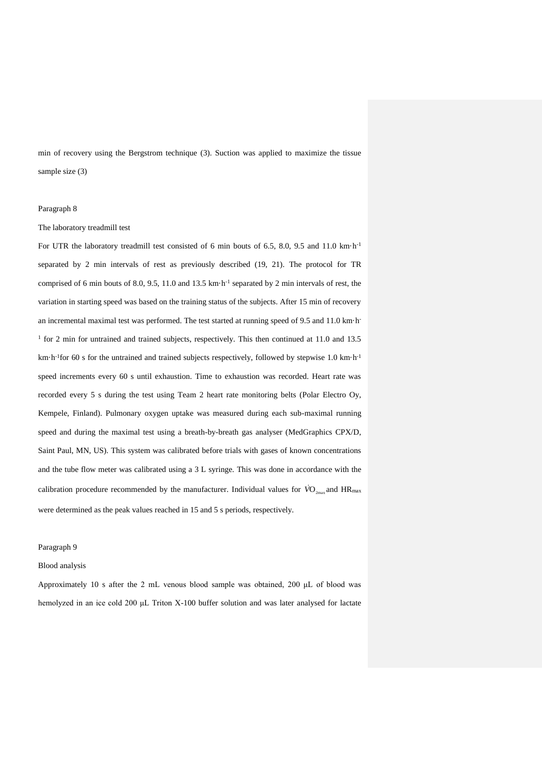min of recovery using the Bergstrom technique (3). Suction was applied to maximize the tissue sample size (3)

#### Paragraph 8

#### The laboratory treadmill test

For UTR the laboratory treadmill test consisted of 6 min bouts of 6.5, 8.0, 9.5 and 11.0 km·h<sup>-1</sup> separated by 2 min intervals of rest as previously described (19, 21). The protocol for TR comprised of 6 min bouts of 8.0, 9.5, 11.0 and 13.5 km·h-1 separated by 2 min intervals of rest, the variation in starting speed was based on the training status of the subjects. After 15 min of recovery an incremental maximal test was performed. The test started at running speed of 9.5 and 11.0 km·h-<sup>1</sup> for 2 min for untrained and trained subjects, respectively. This then continued at 11.0 and 13.5 km·h<sup>-1</sup> for 60 s for the untrained and trained subjects respectively, followed by stepwise 1.0 km·h<sup>-1</sup> speed increments every 60 s until exhaustion. Time to exhaustion was recorded. Heart rate was recorded every 5 s during the test using Team 2 heart rate monitoring belts (Polar Electro Oy, Kempele, Finland). Pulmonary oxygen uptake was measured during each sub-maximal running speed and during the maximal test using a breath-by-breath gas analyser (MedGraphics CPX/D, Saint Paul, MN, US). This system was calibrated before trials with gases of known concentrations and the tube flow meter was calibrated using a 3 L syringe. This was done in accordance with the calibration procedure recommended by the manufacturer. Individual values for  $\dot{V0}_{2\text{max}}$  and  $\text{HR}_{\text{max}}$ were determined as the peak values reached in 15 and 5 s periods, respectively.

#### Paragraph 9

#### Blood analysis

Approximately 10 s after the 2 mL venous blood sample was obtained, 200 μL of blood was hemolyzed in an ice cold 200 μL Triton X-100 buffer solution and was later analysed for lactate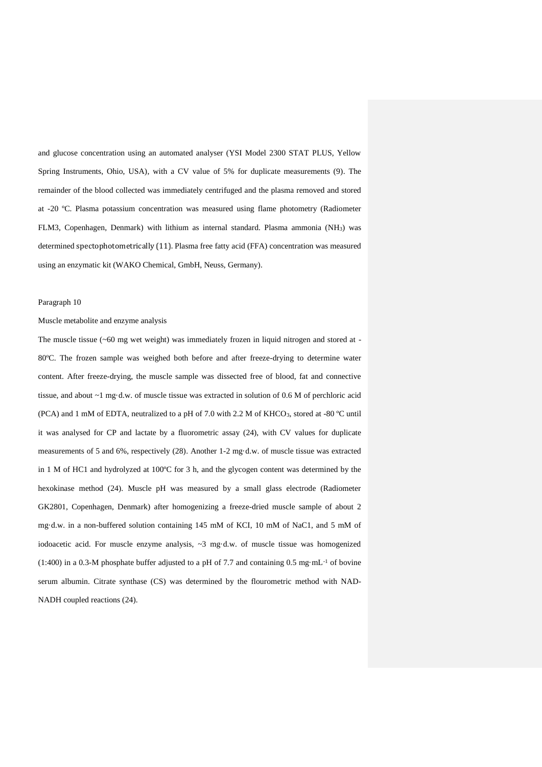and glucose concentration using an automated analyser (YSI Model 2300 STAT PLUS, Yellow Spring Instruments, Ohio, USA), with a CV value of 5% for duplicate measurements (9). The remainder of the blood collected was immediately centrifuged and the plasma removed and stored at -20 ºC. Plasma potassium concentration was measured using flame photometry (Radiometer FLM3, Copenhagen, Denmark) with lithium as internal standard. Plasma ammonia (NH3) was determined spectophotometrically (11). Plasma free fatty acid (FFA) concentration was measured using an enzymatic kit (WAKO Chemical, GmbH, Neuss, Germany).

#### Paragraph 10

#### Muscle metabolite and enzyme analysis

The muscle tissue  $(-60 \text{ mg wet weight})$  was immediately frozen in liquid nitrogen and stored at -80ºC. The frozen sample was weighed both before and after freeze-drying to determine water content. After freeze-drying, the muscle sample was dissected free of blood, fat and connective tissue, and about ~1 mg·d.w. of muscle tissue was extracted in solution of 0.6 M of perchloric acid (PCA) and 1 mM of EDTA, neutralized to a pH of 7.0 with 2.2 M of KHCO<sub>3</sub>, stored at -80 °C until it was analysed for CP and lactate by a fluorometric assay (24), with CV values for duplicate measurements of 5 and 6%, respectively (28). Another 1-2 mg·d.w. of muscle tissue was extracted in 1 M of HC1 and hydrolyzed at 100ºC for 3 h, and the glycogen content was determined by the hexokinase method (24). Muscle pH was measured by a small glass electrode (Radiometer GK2801, Copenhagen, Denmark) after homogenizing a freeze-dried muscle sample of about 2 mg·d.w. in a non-buffered solution containing 145 mM of KCI, 10 mM of NaC1, and 5 mM of iodoacetic acid. For muscle enzyme analysis,  $\sim$ 3 mg·d.w. of muscle tissue was homogenized (1:400) in a 0.3-M phosphate buffer adjusted to a pH of 7.7 and containing 0.5 mg·mL-1 of bovine serum albumin. Citrate synthase (CS) was determined by the flourometric method with NAD-NADH coupled reactions (24).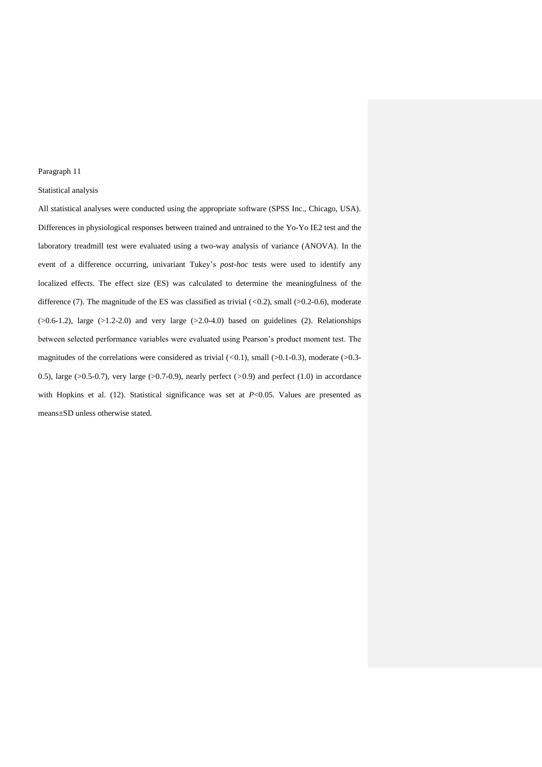#### Paragraph 11

## Statistical analysis

All statistical analyses were conducted using the appropriate software (SPSS Inc., Chicago, USA). Differences in physiological responses between trained and untrained to the Yo-Yo IE2 test and the laboratory treadmill test were evaluated using a two-way analysis of variance (ANOVA). In the event of a difference occurring, univariant Tukey's *post-hoc* tests were used to identify any localized effects. The effect size (ES) was calculated to determine the meaningfulness of the difference (7). The magnitude of the ES was classified as trivial (*<*0.2), small (>0.2-0.6), moderate  $(0.6-1.2)$ , large  $(0.2-2.0)$  and very large  $(0.2-4.0)$  based on guidelines (2). Relationships between selected performance variables were evaluated using Pearson's product moment test. The magnitudes of the correlations were considered as trivial (<0.1), small (>0.1-0.3), moderate (>0.3-0.5), large (>0.5-0.7), very large (>0.7-0.9), nearly perfect (*>*0.9) and perfect (1.0) in accordance with Hopkins et al. (12). Statistical significance was set at *P*<0.05. Values are presented as means±SD unless otherwise stated.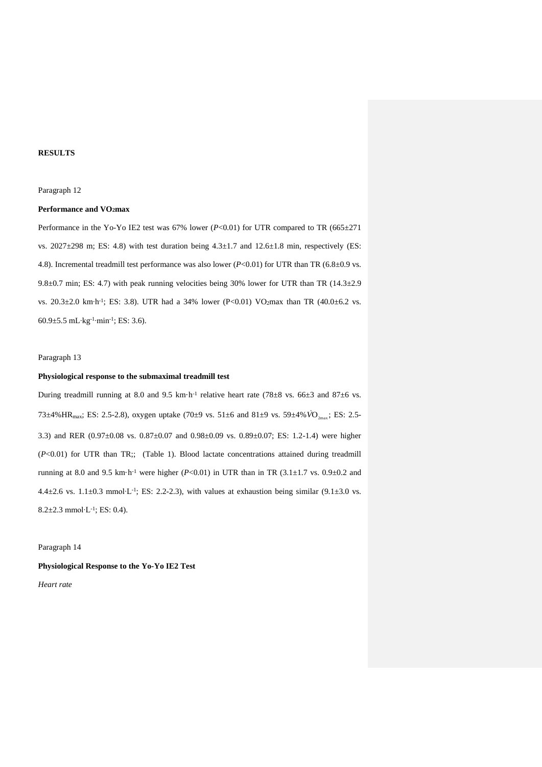#### **RESULTS**

#### Paragraph 12

## **Performance and VO2max**

Performance in the Yo-Yo IE2 test was  $67\%$  lower ( $P<0.01$ ) for UTR compared to TR ( $665\pm271$ vs. 2027 $\pm$ 298 m; ES: 4.8) with test duration being  $4.3\pm1.7$  and  $12.6\pm1.8$  min, respectively (ES: 4.8). Incremental treadmill test performance was also lower  $(P<0.01)$  for UTR than TR  $(6.8\pm0.9 \text{ vs.})$ 9.8 $\pm$ 0.7 min; ES: 4.7) with peak running velocities being 30% lower for UTR than TR (14.3 $\pm$ 2.9 vs. 20.3±2.0 km⋅h<sup>-1</sup>; ES: 3.8). UTR had a 34% lower (P<0.01) VO<sub>2</sub>max than TR (40.0±6.2 vs. 60.9±5.5 mL∙kg-1 ∙min-1 ; ES: 3.6).

#### Paragraph 13

## **Physiological response to the submaximal treadmill test**

During treadmill running at 8.0 and 9.5 km·h<sup>-1</sup> relative heart rate (78 $\pm$ 8 vs. 66 $\pm$ 3 and 87 $\pm$ 6 vs. 73±4%HR<sub>max</sub>; ES: 2.5-2.8), oxygen uptake (70±9 vs. 51±6 and 81±9 vs. 59±4%  $\dot{VO}_{2\text{max}}$ ; ES: 2.5-3.3) and RER (0.97±0.08 vs. 0.87±0.07 and 0.98±0.09 vs. 0.89±0.07; ES: 1.2-1.4) were higher (*P*<0.01) for UTR than TR;; (Table 1). Blood lactate concentrations attained during treadmill running at 8.0 and 9.5 km·h<sup>-1</sup> were higher ( $P<0.01$ ) in UTR than in TR (3.1 $\pm$ 1.7 vs. 0.9 $\pm$ 0.2 and  $4.4 \pm 2.6$  vs.  $1.1 \pm 0.3$  mmol⋅L⋅1; ES: 2.2-2.3), with values at exhaustion being similar (9.1 $\pm$ 3.0 vs. 8.2±2.3 mmol∙L-1 ; ES: 0.4).

#### Paragraph 14

**Physiological Response to the Yo-Yo IE2 Test**  *Heart rate*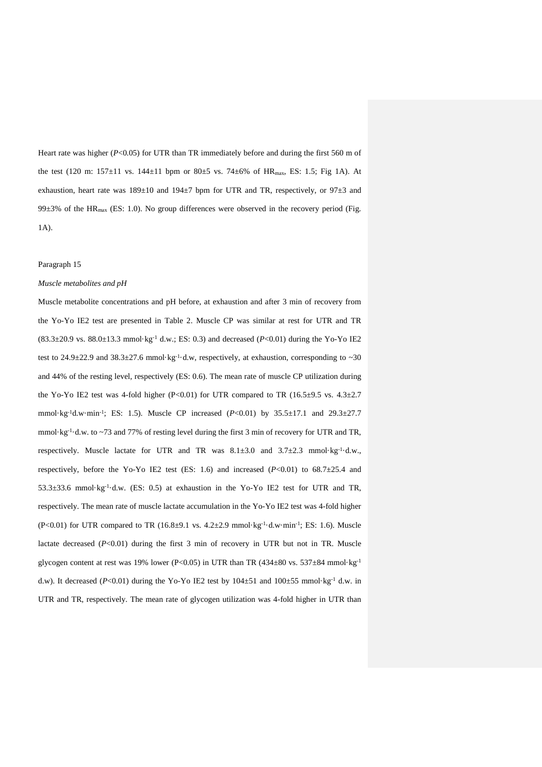Heart rate was higher ( $P<0.05$ ) for UTR than TR immediately before and during the first 560 m of the test (120 m:  $157 \pm 11$  vs.  $144 \pm 11$  bpm or  $80 \pm 5$  vs.  $74 \pm 6\%$  of HR<sub>max</sub>, ES: 1.5; Fig 1A). At exhaustion, heart rate was  $189\pm10$  and  $194\pm7$  bpm for UTR and TR, respectively, or  $97\pm3$  and 99 $\pm$ 3% of the HR<sub>max</sub> (ES: 1.0). No group differences were observed in the recovery period (Fig. 1A).

#### Paragraph 15

#### *Muscle metabolites and pH*

Muscle metabolite concentrations and pH before, at exhaustion and after 3 min of recovery from the Yo-Yo IE2 test are presented in Table 2. Muscle CP was similar at rest for UTR and TR  $(83.3\pm20.9 \text{ vs. } 88.0\pm13.3 \text{ mmol·kg}^{-1} \text{ d.w.}; \text{ES: } 0.3)$  and decreased  $(P<0.01)$  during the Yo-Yo IE2 test to 24.9 $\pm$ 22.9 and 38.3 $\pm$ 27.6 mmol·kg<sup>-1</sup>·d.w, respectively, at exhaustion, corresponding to ~30 and 44% of the resting level, respectively (ES: 0.6). The mean rate of muscle CP utilization during the Yo-Yo IE2 test was 4-fold higher (P<0.01) for UTR compared to TR (16.5 $\pm$ 9.5 vs. 4.3 $\pm$ 2.7 mmol·kg<sup>-1</sup>d.w·min<sup>-1</sup>; ES: 1.5). Muscle CP increased (*P*<0.01) by 35.5±17.1 and 29.3±27.7 mmol·kg<sup>-1</sup>·d.w. to ~73 and 77% of resting level during the first 3 min of recovery for UTR and TR, respectively. Muscle lactate for UTR and TR was  $8.1 \pm 3.0$  and  $3.7 \pm 2.3$  mmol·kg<sup>-1</sup>·d.w., respectively, before the Yo-Yo IE2 test (ES: 1.6) and increased  $(P<0.01)$  to 68.7 $\pm$ 25.4 and  $53.3\pm33.6$  mmol·kg<sup>-1</sup>·d.w. (ES: 0.5) at exhaustion in the Yo-Yo IE2 test for UTR and TR, respectively. The mean rate of muscle lactate accumulation in the Yo-Yo IE2 test was 4-fold higher  $(P<0.01)$  for UTR compared to TR  $(16.8\pm9.1 \text{ vs. } 4.2\pm2.9 \text{ mmol·kg}^{-1} \cdot d \cdot \text{w·min}^{-1})$ ; ES: 1.6). Muscle lactate decreased  $(P<0.01)$  during the first 3 min of recovery in UTR but not in TR. Muscle glycogen content at rest was 19% lower (P<0.05) in UTR than TR (434 $\pm$ 80 vs. 537 $\pm$ 84 mmol·kg<sup>-1</sup> d.w). It decreased ( $P<0.01$ ) during the Yo-Yo IE2 test by  $104\pm51$  and  $100\pm55$  mmol·kg<sup>-1</sup> d.w. in UTR and TR, respectively. The mean rate of glycogen utilization was 4-fold higher in UTR than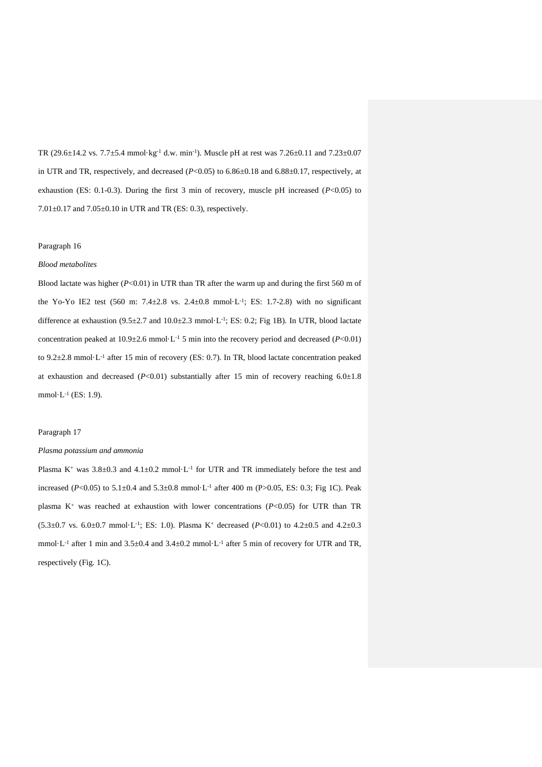TR  $(29.6 \pm 14.2 \text{ vs. } 7.7 \pm 5.4 \text{ mmol·kg}^{-1} \text{ d.w. min}^{-1})$ . Muscle pH at rest was  $7.26 \pm 0.11$  and  $7.23 \pm 0.07$ in UTR and TR, respectively, and decreased  $(P<0.05)$  to  $6.86\pm0.18$  and  $6.88\pm0.17$ , respectively, at exhaustion (ES: 0.1-0.3). During the first 3 min of recovery, muscle pH increased (*P*<0.05) to 7.01±0.17 and 7.05±0.10 in UTR and TR (ES: 0.3), respectively.

#### Paragraph 16

#### *Blood metabolites*

Blood lactate was higher (*P*<0.01) in UTR than TR after the warm up and during the first 560 m of the Yo-Yo IE2 test (560 m: 7.4 $\pm$ 2.8 vs. 2.4 $\pm$ 0.8 mmol·L<sup>-1</sup>; ES: 1.7-2.8) with no significant difference at exhaustion  $(9.5 \pm 2.7 \text{ and } 10.0 \pm 2.3 \text{ mmol} \cdot L^{-1}$ ; ES: 0.2; Fig 1B). In UTR, blood lactate concentration peaked at  $10.9\pm2.6$  mmol·L<sup>-1</sup> 5 min into the recovery period and decreased ( $P<0.01$ ) to 9.2±2.8 mmol·L<sup>-1</sup> after 15 min of recovery (ES: 0.7). In TR, blood lactate concentration peaked at exhaustion and decreased  $(P<0.01)$  substantially after 15 min of recovery reaching  $6.0\pm1.8$ mmol·L-1 (ES: 1.9).

#### Paragraph 17

#### *Plasma potassium and ammonia*

Plasma K<sup>+</sup> was  $3.8 \pm 0.3$  and  $4.1 \pm 0.2$  mmol·L<sup>-1</sup> for UTR and TR immediately before the test and increased (*P*<0.05) to 5.1±0.4 and 5.3±0.8 mmol·L<sup>-1</sup> after 400 m (*P*>0.05, ES: 0.3; Fig 1C). Peak plasma  $K^+$  was reached at exhaustion with lower concentrations ( $P<0.05$ ) for UTR than TR  $(5.3 \pm 0.7 \text{ vs. } 6.0 \pm 0.7 \text{ mmol·L}^{-1}$ ; ES: 1.0). Plasma K<sup>+</sup> decreased (*P<*0.01) to 4.2 $\pm$ 0.5 and 4.2 $\pm$ 0.3 mmol·L<sup>-1</sup> after 1 min and  $3.5\pm0.4$  and  $3.4\pm0.2$  mmol·L<sup>-1</sup> after 5 min of recovery for UTR and TR, respectively (Fig. 1C).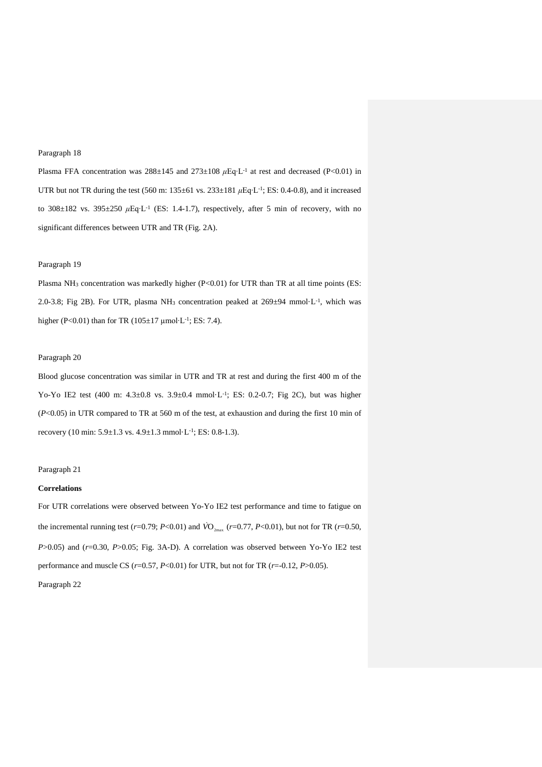#### Paragraph 18

Plasma FFA concentration was 288±145 and 273±108 *μ*Eq⋅L<sup>-1</sup> at rest and decreased (P<0.01) in UTR but not TR during the test (560 m: 135±61 vs. 233±181  $\mu$ Eq⋅L<sup>-1</sup>; ES: 0.4-0.8), and it increased to 308±182 vs. 395±250  $\mu$ Eq⋅L<sup>-1</sup> (ES: 1.4-1.7), respectively, after 5 min of recovery, with no significant differences between UTR and TR (Fig. 2A).

## Paragraph 19

Plasma NH<sub>3</sub> concentration was markedly higher (P<0.01) for UTR than TR at all time points (ES: 2.0-3.8; Fig 2B). For UTR, plasma NH<sub>3</sub> concentration peaked at  $269\pm94$  mmol·L<sup>-1</sup>, which was higher (P<0.01) than for TR ( $105±17 \mu$ mol⋅L⋅<sup>1</sup>; ES: 7.4).

#### Paragraph 20

Blood glucose concentration was similar in UTR and TR at rest and during the first 400 m of the Yo-Yo IE2 test (400 m:  $4.3 \pm 0.8$  vs.  $3.9 \pm 0.4$  mmol·L<sup>-1</sup>; ES: 0.2-0.7; Fig 2C), but was higher (*P*<0.05) in UTR compared to TR at 560 m of the test, at exhaustion and during the first 10 min of recovery (10 min:  $5.9 \pm 1.3$  vs.  $4.9 \pm 1.3$  mmol·L<sup>-1</sup>; ES: 0.8-1.3).

#### Paragraph 21

#### **Correlations**

For UTR correlations were observed between Yo-Yo IE2 test performance and time to fatigue on the incremental running test ( $r=0.79$ ;  $P<0.01$ ) and  $\dot{VO}_{2\text{max}}$  ( $r=0.77$ ,  $P<0.01$ ), but not for TR ( $r=0.50$ , *P*>0.05) and (*r*=0.30, *P*>0.05; Fig. 3A-D). A correlation was observed between Yo-Yo IE2 test performance and muscle CS (*r*=0.57, *P*<0.01) for UTR, but not for TR (*r*=-0.12, *P*>0.05).

Paragraph 22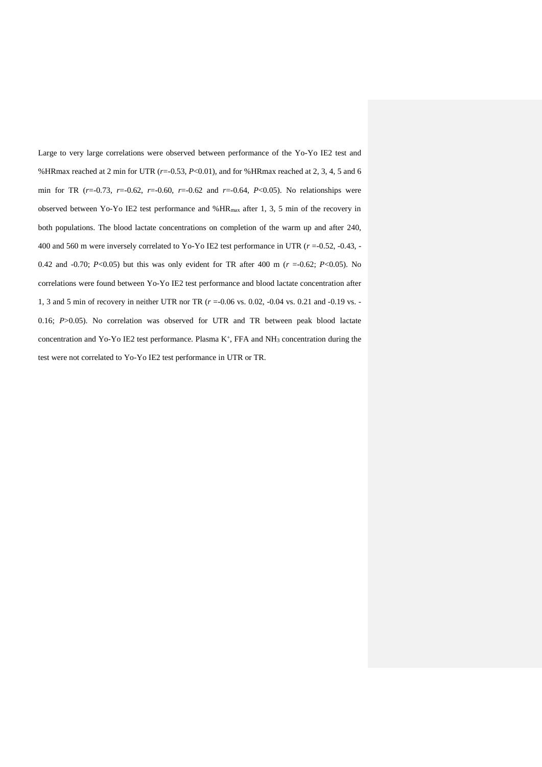Large to very large correlations were observed between performance of the Yo-Yo IE2 test and %HRmax reached at 2 min for UTR (*r*=-0.53, *P*<0.01), and for %HRmax reached at 2, 3, 4, 5 and 6 min for TR (*r*=-0.73, *r*=-0.62, *r*=-0.60, *r*=-0.62 and *r*=-0.64, *P*<0.05). No relationships were observed between Yo-Yo IE2 test performance and %HRmax after 1, 3, 5 min of the recovery in both populations. The blood lactate concentrations on completion of the warm up and after 240, 400 and 560 m were inversely correlated to Yo-Yo IE2 test performance in UTR (*r* =-0.52, -0.43, - 0.42 and -0.70; *P*<0.05) but this was only evident for TR after 400 m (*r* =-0.62; *P*<0.05). No correlations were found between Yo-Yo IE2 test performance and blood lactate concentration after 1, 3 and 5 min of recovery in neither UTR nor TR (*r* =-0.06 vs. 0.02, -0.04 vs. 0.21 and -0.19 vs. - 0.16; *P*>0.05). No correlation was observed for UTR and TR between peak blood lactate concentration and Yo-Yo IE2 test performance. Plasma  $K^+$ , FFA and  $NH_3$  concentration during the test were not correlated to Yo-Yo IE2 test performance in UTR or TR.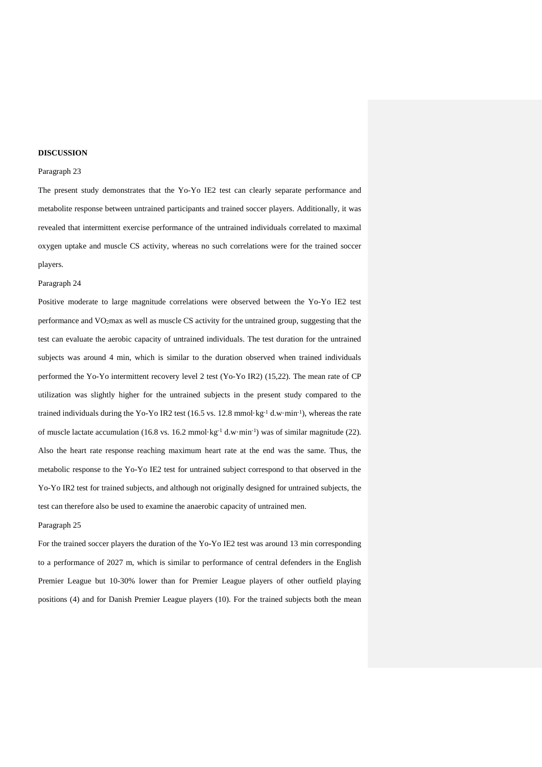#### **DISCUSSION**

## Paragraph 23

The present study demonstrates that the Yo-Yo IE2 test can clearly separate performance and metabolite response between untrained participants and trained soccer players. Additionally, it was revealed that intermittent exercise performance of the untrained individuals correlated to maximal oxygen uptake and muscle CS activity, whereas no such correlations were for the trained soccer players.

#### Paragraph 24

Positive moderate to large magnitude correlations were observed between the Yo-Yo IE2 test performance and VO2max as well as muscle CS activity for the untrained group, suggesting that the test can evaluate the aerobic capacity of untrained individuals. The test duration for the untrained subjects was around 4 min, which is similar to the duration observed when trained individuals performed the Yo-Yo intermittent recovery level 2 test (Yo-Yo IR2) (15,22). The mean rate of CP utilization was slightly higher for the untrained subjects in the present study compared to the trained individuals during the Yo-Yo IR2 test (16.5 vs. 12.8 mmol·kg<sup>-1</sup> d.w·min<sup>-1</sup>), whereas the rate of muscle lactate accumulation (16.8 vs. 16.2 mmol·kg<sup>-1</sup> d.w·min<sup>-1</sup>) was of similar magnitude (22). Also the heart rate response reaching maximum heart rate at the end was the same. Thus, the metabolic response to the Yo-Yo IE2 test for untrained subject correspond to that observed in the Yo-Yo IR2 test for trained subjects, and although not originally designed for untrained subjects, the test can therefore also be used to examine the anaerobic capacity of untrained men.

#### Paragraph 25

For the trained soccer players the duration of the Yo-Yo IE2 test was around 13 min corresponding to a performance of 2027 m, which is similar to performance of central defenders in the English Premier League but 10-30% lower than for Premier League players of other outfield playing positions (4) and for Danish Premier League players (10). For the trained subjects both the mean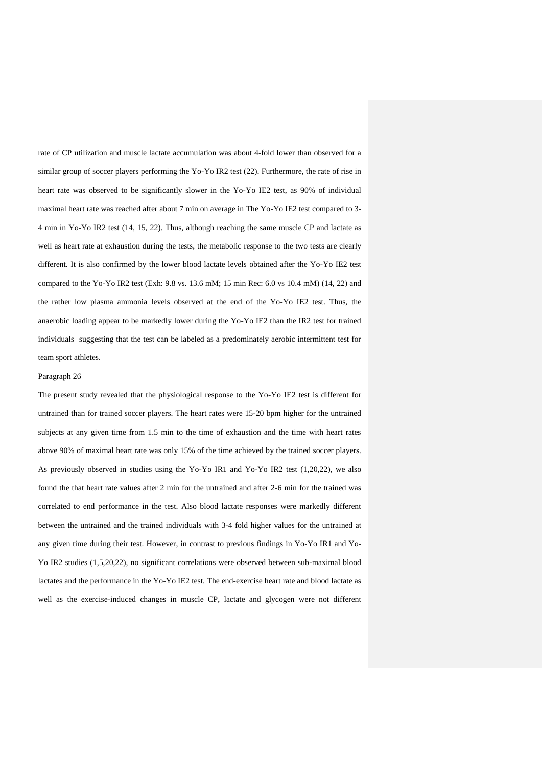rate of CP utilization and muscle lactate accumulation was about 4-fold lower than observed for a similar group of soccer players performing the Yo-Yo IR2 test (22). Furthermore, the rate of rise in heart rate was observed to be significantly slower in the Yo-Yo IE2 test, as 90% of individual maximal heart rate was reached after about 7 min on average in The Yo-Yo IE2 test compared to 3- 4 min in Yo-Yo IR2 test (14, 15, 22). Thus, although reaching the same muscle CP and lactate as well as heart rate at exhaustion during the tests, the metabolic response to the two tests are clearly different. It is also confirmed by the lower blood lactate levels obtained after the Yo-Yo IE2 test compared to the Yo-Yo IR2 test (Exh: 9.8 vs. 13.6 mM; 15 min Rec: 6.0 vs 10.4 mM) (14, 22) and the rather low plasma ammonia levels observed at the end of the Yo-Yo IE2 test. Thus, the anaerobic loading appear to be markedly lower during the Yo-Yo IE2 than the IR2 test for trained individuals suggesting that the test can be labeled as a predominately aerobic intermittent test for team sport athletes.

#### Paragraph 26

The present study revealed that the physiological response to the Yo-Yo IE2 test is different for untrained than for trained soccer players. The heart rates were 15-20 bpm higher for the untrained subjects at any given time from 1.5 min to the time of exhaustion and the time with heart rates above 90% of maximal heart rate was only 15% of the time achieved by the trained soccer players. As previously observed in studies using the Yo-Yo IR1 and Yo-Yo IR2 test (1,20,22), we also found the that heart rate values after 2 min for the untrained and after 2-6 min for the trained was correlated to end performance in the test. Also blood lactate responses were markedly different between the untrained and the trained individuals with 3-4 fold higher values for the untrained at any given time during their test. However, in contrast to previous findings in Yo-Yo IR1 and Yo-Yo IR2 studies (1,5,20,22), no significant correlations were observed between sub-maximal blood lactates and the performance in the Yo-Yo IE2 test. The end-exercise heart rate and blood lactate as well as the exercise-induced changes in muscle CP, lactate and glycogen were not different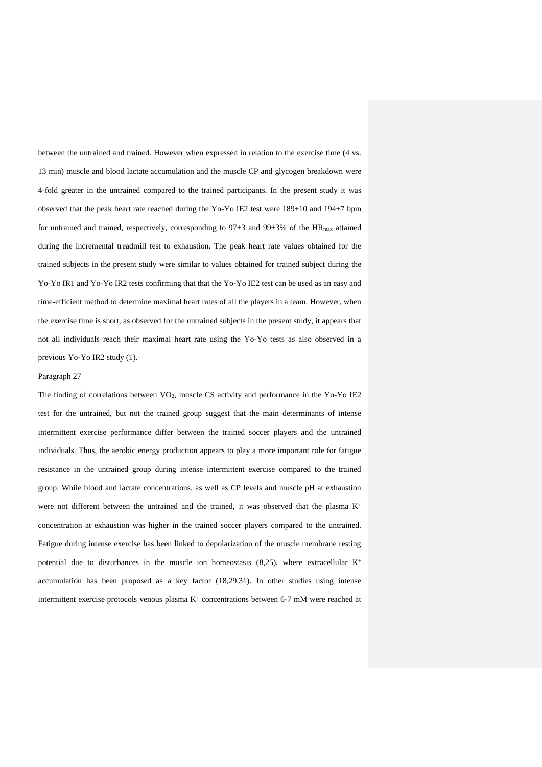between the untrained and trained. However when expressed in relation to the exercise time (4 vs. 13 min) muscle and blood lactate accumulation and the muscle CP and glycogen breakdown were 4-fold greater in the untrained compared to the trained participants. In the present study it was observed that the peak heart rate reached during the Yo-Yo IE2 test were 189±10 and 194±7 bpm for untrained and trained, respectively, corresponding to  $97\pm3$  and  $99\pm3\%$  of the HR<sub>max</sub> attained during the incremental treadmill test to exhaustion. The peak heart rate values obtained for the trained subjects in the present study were similar to values obtained for trained subject during the Yo-Yo IR1 and Yo-Yo IR2 tests confirming that that the Yo-Yo IE2 test can be used as an easy and time-efficient method to determine maximal heart rates of all the players in a team. However, when the exercise time is short, as observed for the untrained subjects in the present study, it appears that not all individuals reach their maximal heart rate using the Yo-Yo tests as also observed in a previous Yo-Yo IR2 study (1).

#### Paragraph 27

The finding of correlations between  $VO<sub>2</sub>$ , muscle CS activity and performance in the Yo-Yo IE2 test for the untrained, but not the trained group suggest that the main determinants of intense intermittent exercise performance differ between the trained soccer players and the untrained individuals. Thus, the aerobic energy production appears to play a more important role for fatigue resistance in the untrained group during intense intermittent exercise compared to the trained group. While blood and lactate concentrations, as well as CP levels and muscle pH at exhaustion were not different between the untrained and the trained, it was observed that the plasma  $K^+$ concentration at exhaustion was higher in the trained soccer players compared to the untrained. Fatigue during intense exercise has been linked to depolarization of the muscle membrane resting potential due to disturbances in the muscle ion homeostasis  $(8,25)$ , where extracellular K<sup>+</sup> accumulation has been proposed as a key factor (18,29,31). In other studies using intense intermittent exercise protocols venous plasma  $K^+$  concentrations between 6-7 mM were reached at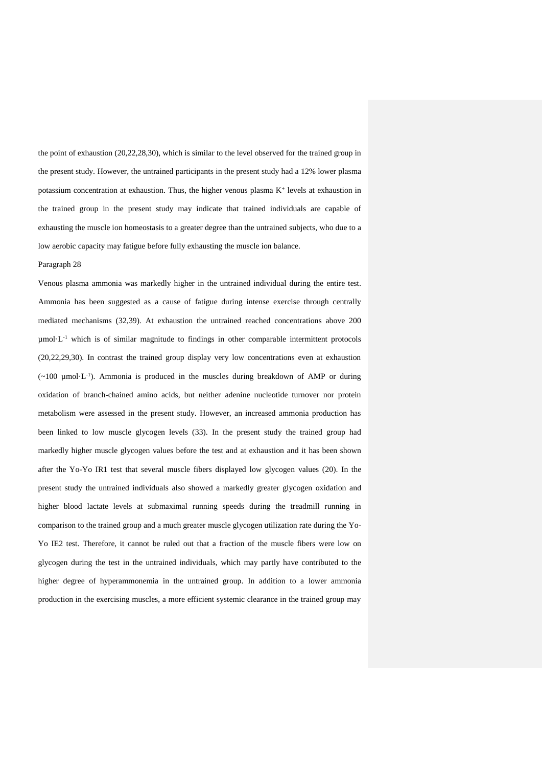the point of exhaustion (20,22,28,30), which is similar to the level observed for the trained group in the present study. However, the untrained participants in the present study had a 12% lower plasma potassium concentration at exhaustion. Thus, the higher venous plasma  $K^+$  levels at exhaustion in the trained group in the present study may indicate that trained individuals are capable of exhausting the muscle ion homeostasis to a greater degree than the untrained subjects, who due to a low aerobic capacity may fatigue before fully exhausting the muscle ion balance.

#### Paragraph 28

Venous plasma ammonia was markedly higher in the untrained individual during the entire test. Ammonia has been suggested as a cause of fatigue during intense exercise through centrally mediated mechanisms (32,39). At exhaustion the untrained reached concentrations above 200  $µmol·L<sup>-1</sup>$  which is of similar magnitude to findings in other comparable intermittent protocols (20,22,29,30). In contrast the trained group display very low concentrations even at exhaustion  $(\sim 100 \mu mol·L^{-1})$ . Ammonia is produced in the muscles during breakdown of AMP or during oxidation of branch-chained amino acids, but neither adenine nucleotide turnover nor protein metabolism were assessed in the present study. However, an increased ammonia production has been linked to low muscle glycogen levels (33). In the present study the trained group had markedly higher muscle glycogen values before the test and at exhaustion and it has been shown after the Yo-Yo IR1 test that several muscle fibers displayed low glycogen values (20). In the present study the untrained individuals also showed a markedly greater glycogen oxidation and higher blood lactate levels at submaximal running speeds during the treadmill running in comparison to the trained group and a much greater muscle glycogen utilization rate during the Yo-Yo IE2 test. Therefore, it cannot be ruled out that a fraction of the muscle fibers were low on glycogen during the test in the untrained individuals, which may partly have contributed to the higher degree of hyperammonemia in the untrained group. In addition to a lower ammonia production in the exercising muscles, a more efficient systemic clearance in the trained group may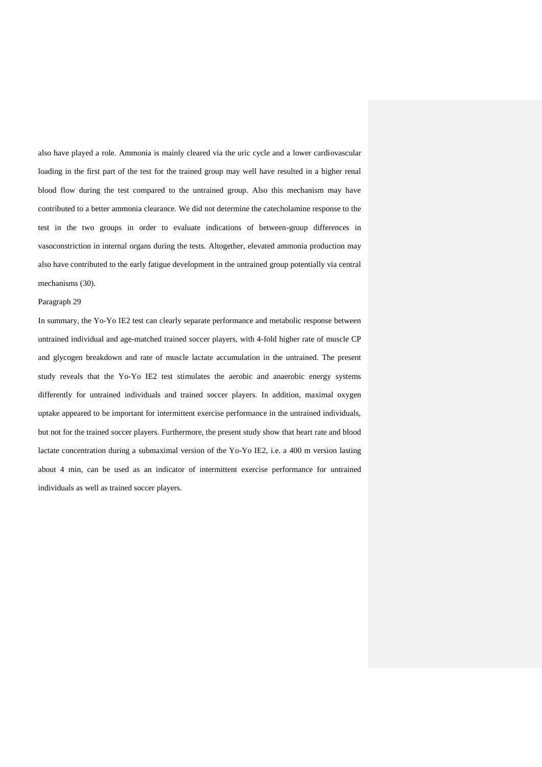also have played a role. Ammonia is mainly cleared via the uric cycle and a lower cardiovascular loading in the first part of the test for the trained group may well have resulted in a higher renal blood flow during the test compared to the untrained group. Also this mechanism may have contributed to a better ammonia clearance. We did not determine the catecholamine response to the test in the two groups in order to evaluate indications of between-group differences in vasoconstriction in internal organs during the tests. Altogether, elevated ammonia production may also have contributed to the early fatigue development in the untrained group potentially via central mechanisms (30).

## Paragraph 29

In summary, the Yo-Yo IE2 test can clearly separate performance and metabolic response between untrained individual and age-matched trained soccer players, with 4-fold higher rate of muscle CP and glycogen breakdown and rate of muscle lactate accumulation in the untrained. The present study reveals that the Yo-Yo IE2 test stimulates the aerobic and anaerobic energy systems differently for untrained individuals and trained soccer players. In addition, maximal oxygen uptake appeared to be important for intermittent exercise performance in the untrained individuals, but not for the trained soccer players. Furthermore, the present study show that heart rate and blood lactate concentration during a submaximal version of the Yo-Yo IE2, i.e. a 400 m version lasting about 4 min, can be used as an indicator of intermittent exercise performance for untrained individuals as well as trained soccer players.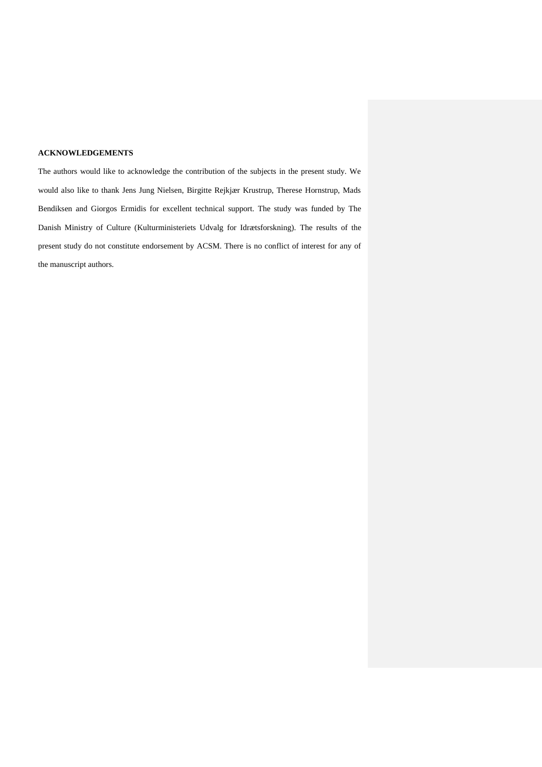## **ACKNOWLEDGEMENTS**

The authors would like to acknowledge the contribution of the subjects in the present study. We would also like to thank Jens Jung Nielsen, Birgitte Rejkjær Krustrup, Therese Hornstrup, Mads Bendiksen and Giorgos Ermidis for excellent technical support. The study was funded by The Danish Ministry of Culture (Kulturministeriets Udvalg for Idrætsforskning). The results of the present study do not constitute endorsement by ACSM. There is no conflict of interest for any of the manuscript authors.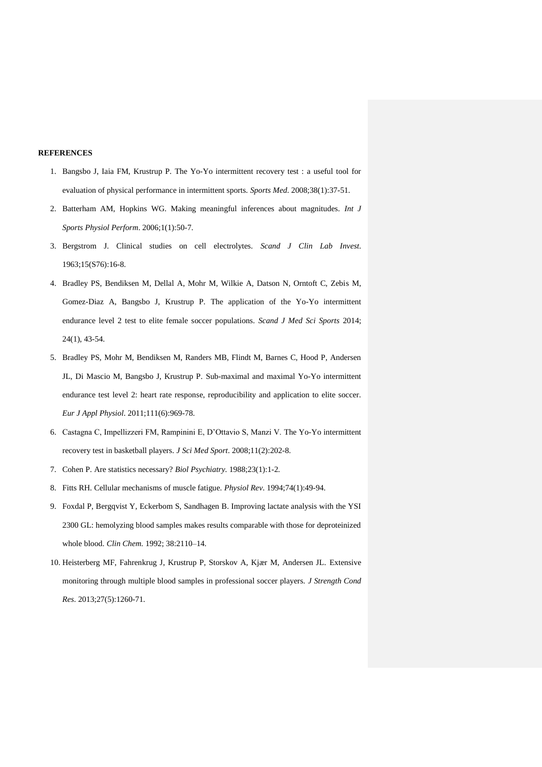#### **REFERENCES**

- 1. Bangsbo J, Iaia FM, Krustrup P. The Yo-Yo intermittent recovery test : a useful tool for evaluation of physical performance in intermittent sports. *Sports Med*. 2008;38(1):37-51.
- 2. [Batterham](http://www.ncbi.nlm.nih.gov/pubmed?term=Batterham%20AM%255BAuthor%255D&cauthor=true&cauthor_uid=19114737) AM, [Hopkins](http://www.ncbi.nlm.nih.gov/pubmed?term=Hopkins%20WG%255BAuthor%255D&cauthor=true&cauthor_uid=19114737) WG. Making meaningful inferences about magnitudes. *[Int J](http://www.ncbi.nlm.nih.gov/pubmed/?term=batterham+hopkins+2006)  [Sports Physiol Perform](http://www.ncbi.nlm.nih.gov/pubmed/?term=batterham+hopkins+2006)*. 2006;1(1):50-7.
- 3. Bergstrom J. Clinical studies on cell electrolytes. *[Scand J Clin Lab Invest](http://www.ncbi.nlm.nih.gov/pubmed/?term=bergstr%C3%B8m+1963+biopsies)*. 1963;15(S76):16-8.
- 4. Bradley PS, Bendiksen M, Dellal A, Mohr M, Wilkie A, Datson N, Orntoft C, Zebis M, Gomez-Diaz A, Bangsbo J, Krustrup P. [The application of the Yo-Yo intermittent](http://www.ncbi.nlm.nih.gov/pubmed/22712498)  [endurance level 2 test to elite female soccer populations.](http://www.ncbi.nlm.nih.gov/pubmed/22712498) *Scand J Med Sci Sports* 2014; 24(1), 43-54.
- 5. Bradley PS, Mohr M, Bendiksen M, Randers MB, Flindt M, Barnes C, Hood P, Andersen JL, Di Mascio M, Bangsbo J, Krustrup P. [Sub-maximal and maximal Yo-Yo intermittent](http://www.ncbi.nlm.nih.gov/pubmed/21082197)  [endurance test level 2: heart rate response, reproducibility and application to elite soccer.](http://www.ncbi.nlm.nih.gov/pubmed/21082197) *Eur J Appl Physiol*. 2011;111(6):969-78.
- 6. Castagna C, Impellizzeri FM, Rampinini E, D'Ottavio S, Manzi V. The Yo-Yo intermittent recovery test in basketball players. *J Sci Med Sport*. 2008;11(2):202-8.
- 7. Cohen P. [Are statistics necessary?](http://www.ncbi.nlm.nih.gov/pubmed/3337849) *Biol Psychiatry*. 1988;23(1):1-2.
- 8. Fitts RH. [Cellular mechanisms of muscle fatigue.](http://www.ncbi.nlm.nih.gov/pubmed/8295935) *Physiol Rev*. 1994;74(1):49-94.
- 9. Foxdal P, Bergqvist Y, Eckerbom S, Sandhagen B. Improving lactate analysis with the YSI 2300 GL: hemolyzing blood samples makes results comparable with those for deproteinized whole blood. *Clin Chem.* 1992; 38:2110–14.
- 10. Heisterberg MF, Fahrenkrug J, Krustrup P, Storskov A, Kjær M, Andersen JL. [Extensive](http://www.ncbi.nlm.nih.gov/pubmed/22744299)  [monitoring through multiple blood samples in professional soccer players.](http://www.ncbi.nlm.nih.gov/pubmed/22744299) *J Strength Cond Res*. 2013;27(5):1260-71.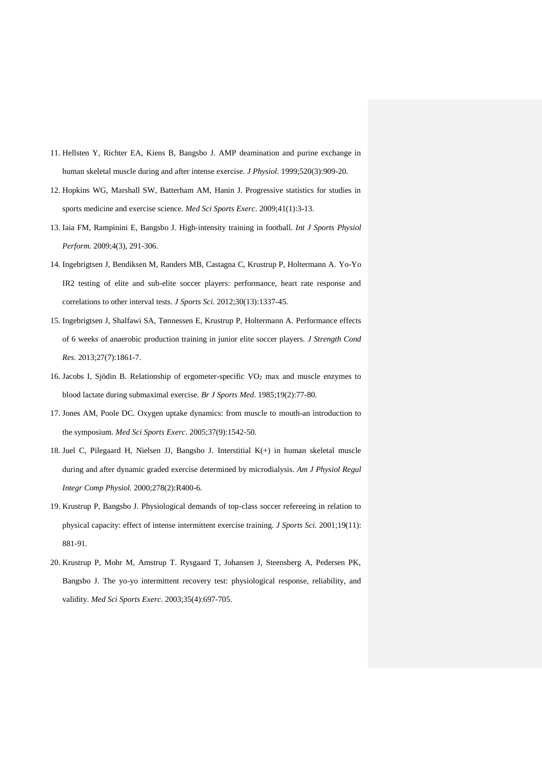- 11. Hellsten Y, Richter EA, Kiens B, Bangsbo J. AMP deamination and purine exchange in human skeletal muscle during and after intense exercise. *J Physiol*. 1999;520(3):909-20.
- 12. Hopkins WG, Marshall SW, Batterham AM, Hanin J. Progressive statistics for studies in sports medicine and exercise science. *Med Sci Sports Exerc*. 2009;41(1):3-13.
- 13. Iaia FM, Rampinini E, Bangsbo J. High-intensity training in football. *Int J Sports Physiol Perform*. 2009;4(3), 291-306.
- 14. Ingebrigtsen J, Bendiksen M, Randers MB, Castagna C, Krustrup P, Holtermann A. [Yo-Yo](http://www.ncbi.nlm.nih.gov/pubmed/22867048)  [IR2 testing of elite and sub-elite soccer players: performance, heart rate response and](http://www.ncbi.nlm.nih.gov/pubmed/22867048)  [correlations to other interval tests.](http://www.ncbi.nlm.nih.gov/pubmed/22867048) *J Sports Sci*. 2012;30(13):1337-45.
- 15. Ingebrigtsen J, Shalfawi SA, Tønnessen E, Krustrup P, Holtermann A. [Performance effects](http://www.ncbi.nlm.nih.gov/pubmed/23552340)  [of 6 weeks of anaerobic production training in junior elite soccer players.](http://www.ncbi.nlm.nih.gov/pubmed/23552340) *J Strength Cond Res*. 2013;27(7):1861-7.
- 16. Jacobs I, Sjödin B. [Relationship of ergometer-specific VO](http://www.ncbi.nlm.nih.gov/pubmed/3161575)<sup>2</sup> max and muscle enzymes to [blood lactate during submaximal exercise.](http://www.ncbi.nlm.nih.gov/pubmed/3161575) *Br J Sports Med*. 1985;19(2):77-80.
- 17. Jones AM, Poole DC. Oxygen uptake dynamics: from muscle to mouth-an introduction to the symposium. *Med Sci Sports Exerc*. 2005;37(9):1542-50.
- 18. Juel C, Pilegaard H, Nielsen JJ, Bangsbo J. [Interstitial K\(+\) in human skeletal muscle](http://www.ncbi.nlm.nih.gov/pubmed/10666141)  [during and after dynamic graded exercise determined by microdialysis.](http://www.ncbi.nlm.nih.gov/pubmed/10666141) *Am J Physiol Regul Integr Comp Physiol*. 2000;278(2):R400-6.
- 19. Krustrup P, Bangsbo J. Physiological demands of top-class soccer refereeing in relation to physical capacity: effect of intense intermittent exercise training. *J Sports Sci.* 2001;19(11): 881-91.
- 20. Krustrup P, Mohr M, Amstrup T. Rysgaard T, Johansen J, Steensberg A, Pedersen PK, Bangsbo J. The yo-yo intermittent recovery test: physiological response, reliability, and validity. *Med Sci Sports Exerc*. 2003;35(4):697-705.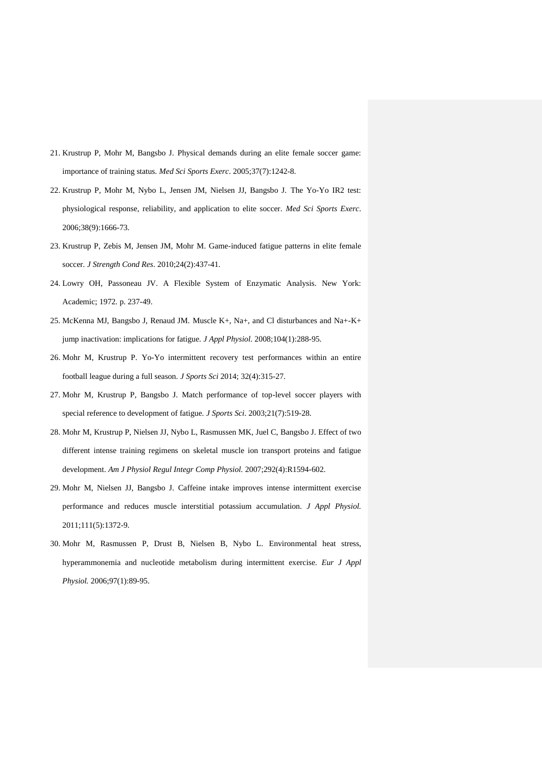- 21. Krustrup P, Mohr M, Bangsbo J. Physical demands during an elite female soccer game: importance of training status. *Med Sci Sports Exerc*. 2005;37(7):1242-8.
- 22. Krustrup P, Mohr M, Nybo L, Jensen JM, Nielsen JJ, Bangsbo J. The Yo-Yo IR2 test: physiological response, reliability, and application to elite soccer. *Med Sci Sports Exerc*. 2006;38(9):1666-73.
- 23. Krustrup P, Zebis M, Jensen JM, Mohr M. Game-induced fatigue patterns in elite female soccer. *J Strength Cond Res*. 2010;24(2):437-41.
- 24. Lowry OH, Passoneau JV. A Flexible System of Enzymatic Analysis. New York: Academic; 1972. p. 237-49.
- 25. McKenna MJ, Bangsbo J, Renaud JM. [Muscle K+, Na+, and Cl disturbances and Na+-K+](http://www.ncbi.nlm.nih.gov/pubmed/17962569)  [jump inactivation: implications for fatigue.](http://www.ncbi.nlm.nih.gov/pubmed/17962569) *J Appl Physiol*. 2008;104(1):288-95.
- 26. Mohr M, Krustrup P. [Yo-Yo intermittent recovery test performances within an entire](http://www.ncbi.nlm.nih.gov/pubmed/23980570)  [football league during a full season.](http://www.ncbi.nlm.nih.gov/pubmed/23980570) *J Sports Sci* 2014; 32(4):315-27.
- 27. Mohr M, Krustrup P, Bangsbo J. Match performance of top-level soccer players with special reference to development of fatigue. *J Sports Sci*. 2003;21(7):519-28.
- 28. [Mohr M,](http://www.ncbi.nlm.nih.gov/sites/entrez?Db=pubmed&Cmd=Search&Term=%2522Mohr%20M%2522%255BAuthor%255D&itool=EntrezSystem2.PEntrez.Pubmed.Pubmed_ResultsPanel.Pubmed_RVAbstractPlus) [Krustrup P,](http://www.ncbi.nlm.nih.gov/sites/entrez?Db=pubmed&Cmd=Search&Term=%2522Krustrup%20P%2522%255BAuthor%255D&itool=EntrezSystem2.PEntrez.Pubmed.Pubmed_ResultsPanel.Pubmed_RVAbstractPlus) [Nielsen JJ,](http://www.ncbi.nlm.nih.gov/sites/entrez?Db=pubmed&Cmd=Search&Term=%2522Nielsen%20JJ%2522%255BAuthor%255D&itool=EntrezSystem2.PEntrez.Pubmed.Pubmed_ResultsPanel.Pubmed_RVAbstractPlus) [Nybo L,](http://www.ncbi.nlm.nih.gov/sites/entrez?Db=pubmed&Cmd=Search&Term=%2522Nybo%20L%2522%255BAuthor%255D&itool=EntrezSystem2.PEntrez.Pubmed.Pubmed_ResultsPanel.Pubmed_RVAbstractPlus) [Rasmussen MK,](http://www.ncbi.nlm.nih.gov/sites/entrez?Db=pubmed&Cmd=Search&Term=%2522Rasmussen%20MK%2522%255BAuthor%255D&itool=EntrezSystem2.PEntrez.Pubmed.Pubmed_ResultsPanel.Pubmed_RVAbstractPlus) [Juel C,](http://www.ncbi.nlm.nih.gov/sites/entrez?Db=pubmed&Cmd=Search&Term=%2522Juel%20C%2522%255BAuthor%255D&itool=EntrezSystem2.PEntrez.Pubmed.Pubmed_ResultsPanel.Pubmed_RVAbstractPlus) [Bangsbo J.](http://www.ncbi.nlm.nih.gov/sites/entrez?Db=pubmed&Cmd=Search&Term=%2522Bangsbo%20J%2522%255BAuthor%255D&itool=EntrezSystem2.PEntrez.Pubmed.Pubmed_ResultsPanel.Pubmed_RVAbstractPlus) Effect of two different intense training regimens on skeletal muscle ion transport proteins and fatigue development. *[Am J Physiol Regul Integr Comp Physiol.](javascript:AL_get(this,%20)* 2007;292(4):R1594-602.
- 29. Mohr M, Nielsen JJ, Bangsbo J. [Caffeine intake improves intense intermittent exercise](http://www.ncbi.nlm.nih.gov/pubmed/21836046)  [performance and reduces muscle interstitial potassium accumulation.](http://www.ncbi.nlm.nih.gov/pubmed/21836046) *J Appl Physiol.* 2011;111(5):1372-9.
- 30. Mohr M, Rasmussen P, Drust B, Nielsen B, Nybo L. [Environmental heat stress,](http://www.ncbi.nlm.nih.gov/pubmed/16485104)  [hyperammonemia and nucleotide metabolism during intermittent exercise.](http://www.ncbi.nlm.nih.gov/pubmed/16485104) *Eur J Appl Physiol.* 2006;97(1):89-95.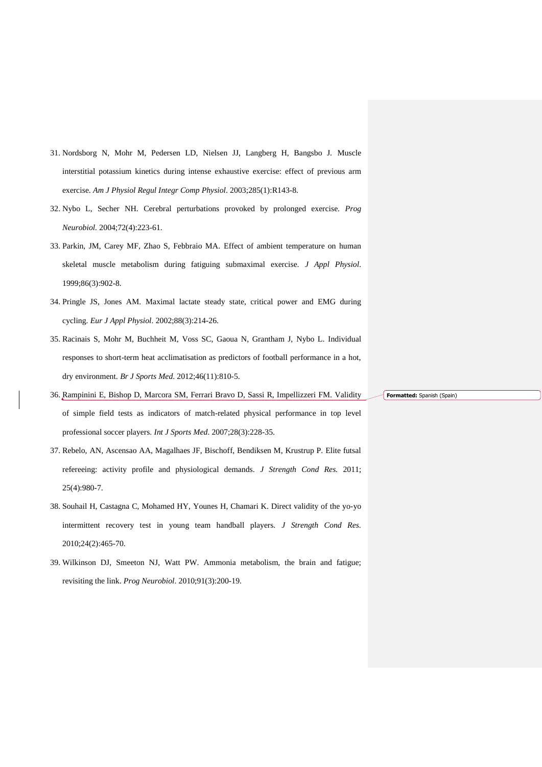- 31. Nordsborg N, Mohr M, Pedersen LD, Nielsen JJ, Langberg H, Bangsbo J. [Muscle](http://www.ncbi.nlm.nih.gov/pubmed/12663256)  [interstitial potassium kinetics during intense exhaustive exercise: effect of previous arm](http://www.ncbi.nlm.nih.gov/pubmed/12663256)  [exercise.](http://www.ncbi.nlm.nih.gov/pubmed/12663256) *Am J Physiol Regul Integr Comp Physiol*. 2003;285(1):R143-8.
- 32. Nybo L, Secher NH. [Cerebral perturbations provoked by prolonged exercise.](http://www.ncbi.nlm.nih.gov/pubmed/15142684) *Prog Neurobiol.* 2004;72(4):223-61.
- 33. Parkin, JM, Carey MF, Zhao S, Febbraio MA. [Effect of ambient temperature on human](http://www.ncbi.nlm.nih.gov/pubmed/10066703)  [skeletal muscle metabolism during fatiguing submaximal exercise.](http://www.ncbi.nlm.nih.gov/pubmed/10066703) *J Appl Physiol*. 1999;86(3):902-8.
- 34. Pringle JS, Jones AM. [Maximal lactate steady state, critical power and EMG during](http://www.ncbi.nlm.nih.gov/pubmed/12458364)  [cycling.](http://www.ncbi.nlm.nih.gov/pubmed/12458364) *Eur J Appl Physiol*. 2002;88(3):214-26.
- 35. Racinais S, Mohr M, Buchheit M, Voss SC, Gaoua N, Grantham J, Nybo L. [Individual](http://www.ncbi.nlm.nih.gov/pubmed/22797527)  [responses to short-term heat acclimatisation as predictors of football performance in a hot,](http://www.ncbi.nlm.nih.gov/pubmed/22797527)  [dry environment.](http://www.ncbi.nlm.nih.gov/pubmed/22797527) *Br J Sports Med*. 2012;46(11):810-5.
- 36. Rampinini E, Bishop D, Marcora SM, Ferrari Bravo D, Sassi R, Impellizzeri FM. Validity of simple field tests as indicators of match-related physical performance in top level professional soccer players. *Int J Sports Med*. 2007;28(3):228-35.
- 37. Rebelo, AN, Ascensao AA, Magalhaes JF, Bischoff, Bendiksen M, Krustrup P. Elite futsal refereeing: activity profile and physiological demands. *J Strength Cond Res.* 2011; 25(4):980-7.
- 38. [Souhail](http://www.ncbi.nlm.nih.gov/pubmed?term=Souhail%20H%255BAuthor%255D&cauthor=true&cauthor_uid=20072052) H, [Castagna](http://www.ncbi.nlm.nih.gov/pubmed?term=Castagna%20C%255BAuthor%255D&cauthor=true&cauthor_uid=20072052) C, [Mohamed HY,](http://www.ncbi.nlm.nih.gov/pubmed?term=Mohamed%20HY%255BAuthor%255D&cauthor=true&cauthor_uid=20072052) [Younes H,](http://www.ncbi.nlm.nih.gov/pubmed?term=Younes%20H%255BAuthor%255D&cauthor=true&cauthor_uid=20072052) [Chamari K.](http://www.ncbi.nlm.nih.gov/pubmed?term=Chamari%20K%255BAuthor%255D&cauthor=true&cauthor_uid=20072052) Direct validity of the yo-yo intermittent recovery test in young team handball players. *[J Strength Cond Res.](http://www.ncbi.nlm.nih.gov/pubmed/?term=souhail+castagna)* 2010;24(2):465-70.
- 39. [Wilkinson](http://www.ncbi.nlm.nih.gov/pubmed?term=Wilkinson%20DJ%255BAuthor%255D&cauthor=true&cauthor_uid=20138956) DJ, [Smeeton NJ,](http://www.ncbi.nlm.nih.gov/pubmed?term=Smeeton%20NJ%255BAuthor%255D&cauthor=true&cauthor_uid=20138956) [Watt PW.](http://www.ncbi.nlm.nih.gov/pubmed?term=Watt%20PW%255BAuthor%255D&cauthor=true&cauthor_uid=20138956) Ammonia metabolism, the brain and fatigue; revisiting the link. *[Prog Neurobiol](http://www.ncbi.nlm.nih.gov/pubmed/?term=wilkinson+2010+ammonia)*. 2010;91(3):200-19.

**Formatted:** Spanish (Spain)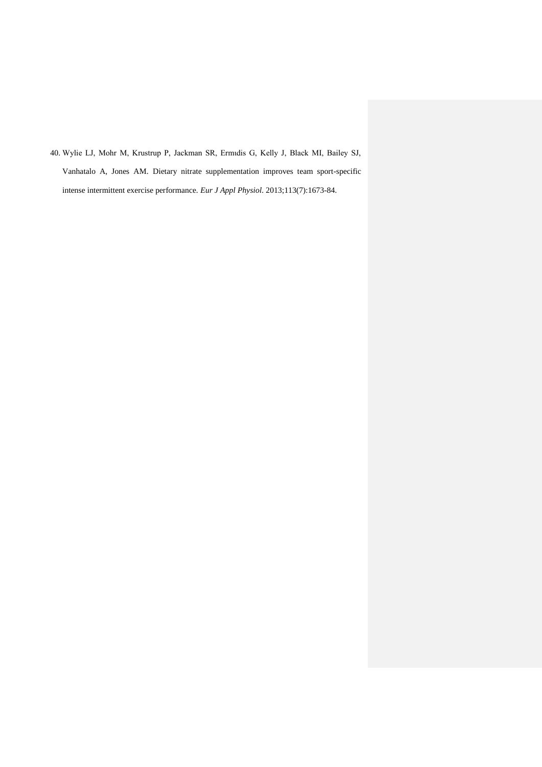40. Wylie LJ, Mohr M, Krustrup P, Jackman SR, Ermιdis G, Kelly J, Black MI, Bailey SJ, Vanhatalo A, Jones AM. [Dietary nitrate supplementation improves team sport-specific](http://www.ncbi.nlm.nih.gov/pubmed/23370859)  [intense intermittent exercise performance.](http://www.ncbi.nlm.nih.gov/pubmed/23370859) *Eur J Appl Physiol*. 2013;113(7):1673-84.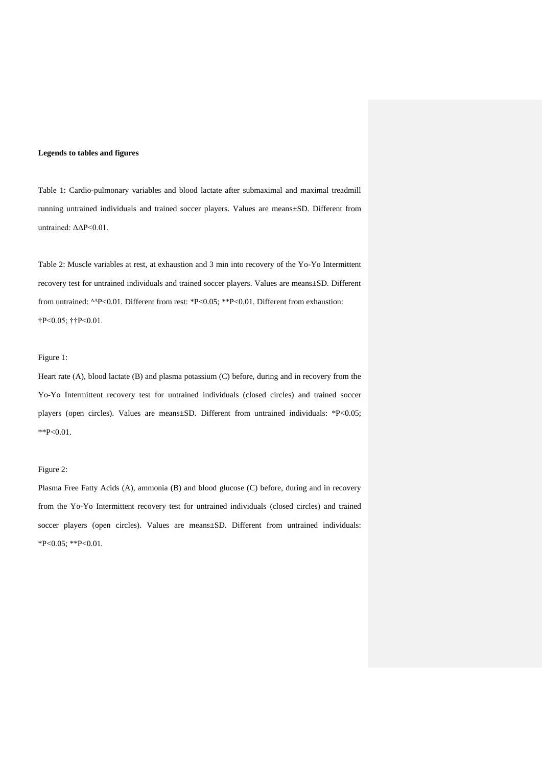#### **Legends to tables and figures**

Table 1: Cardio-pulmonary variables and blood lactate after submaximal and maximal treadmill running untrained individuals and trained soccer players. Values are means±SD. Different from untrained: ΔΔP<0.01.

Table 2: Muscle variables at rest, at exhaustion and 3 min into recovery of the Yo-Yo Intermittent recovery test for untrained individuals and trained soccer players. Values are means±SD. Different from untrained: ΔΔP<0.01. Different from rest: \*P<0.05; \*\*P<0.01. Different from exhaustion: †P<0.05; ††P<0.01.

#### Figure 1:

Heart rate (A), blood lactate (B) and plasma potassium (C) before, during and in recovery from the Yo-Yo Intermittent recovery test for untrained individuals (closed circles) and trained soccer players (open circles). Values are means±SD. Different from untrained individuals: \*P<0.05; \*\*P<0.01.

#### Figure 2:

Plasma Free Fatty Acids (A), ammonia (B) and blood glucose (C) before, during and in recovery from the Yo-Yo Intermittent recovery test for untrained individuals (closed circles) and trained soccer players (open circles). Values are means±SD. Different from untrained individuals: \*P<0.05; \*\*P<0.01.